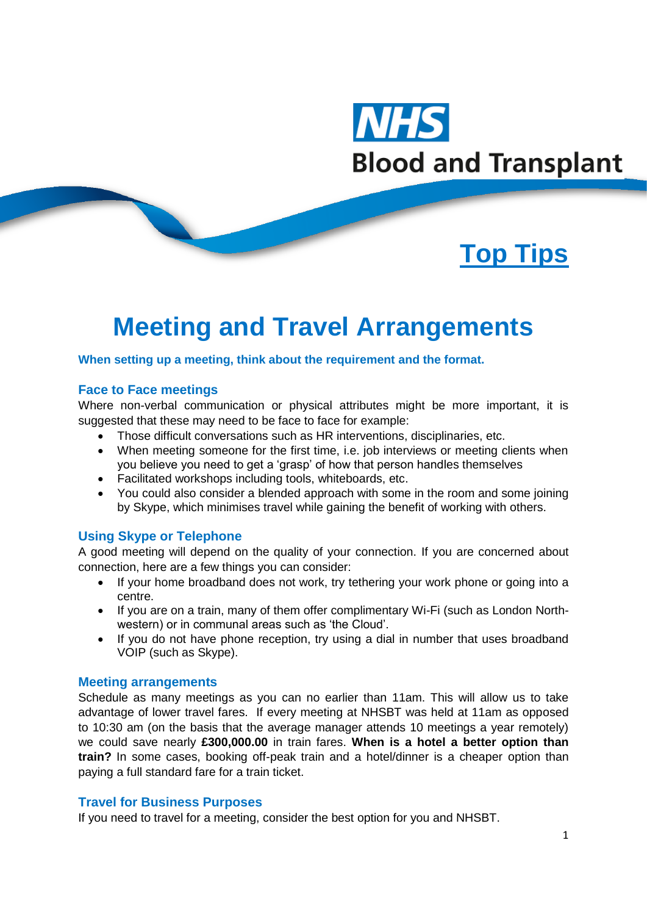

# **Top Tips**

## **Meeting and Travel Arrangements**

#### **When setting up a meeting, think about the requirement and the format.**

#### **Face to Face meetings**

Where non-verbal communication or physical attributes might be more important, it is suggested that these may need to be face to face for example:

- Those difficult conversations such as HR interventions, disciplinaries, etc.
- When meeting someone for the first time, i.e. job interviews or meeting clients when you believe you need to get a 'grasp' of how that person handles themselves
- Facilitated workshops including tools, whiteboards, etc.
- You could also consider a blended approach with some in the room and some joining by Skype, which minimises travel while gaining the benefit of working with others.

## **Using Skype or Telephone**

A good meeting will depend on the quality of your connection. If you are concerned about connection, here are a few things you can consider:

- If your home broadband does not work, try tethering your work phone or going into a centre.
- If you are on a train, many of them offer complimentary Wi-Fi (such as London Northwestern) or in communal areas such as 'the Cloud'.
- If you do not have phone reception, try using a dial in number that uses broadband VOIP (such as Skype).

#### **Meeting arrangements**

Schedule as many meetings as you can no earlier than 11am. This will allow us to take advantage of lower travel fares. If every meeting at NHSBT was held at 11am as opposed to 10:30 am (on the basis that the average manager attends 10 meetings a year remotely) we could save nearly **£300,000.00** in train fares. **When is a hotel a better option than train?** In some cases, booking off-peak train and a hotel/dinner is a cheaper option than paying a full standard fare for a train ticket.

## **Travel for Business Purposes**

If you need to travel for a meeting, consider the best option for you and NHSBT.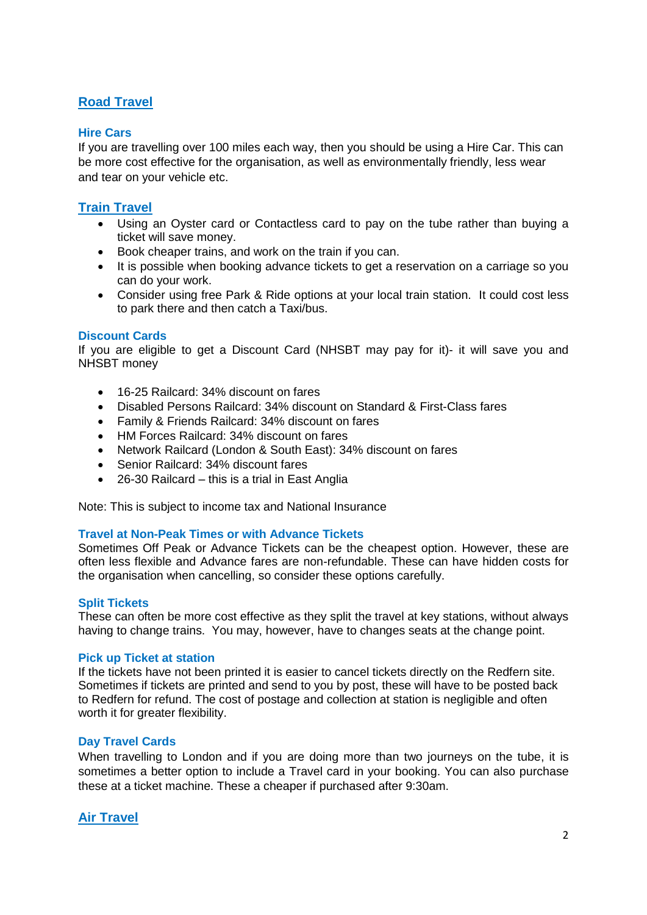## **Road Travel**

## **Hire Cars**

If you are travelling over 100 miles each way, then you should be using a Hire Car. This can be more cost effective for the organisation, as well as environmentally friendly, less wear and tear on your vehicle etc.

## **Train Travel**

- Using an Oyster card or Contactless card to pay on the tube rather than buying a ticket will save money.
- Book cheaper trains, and work on the train if you can.
- It is possible when booking advance tickets to get a reservation on a carriage so you can do your work.
- Consider using free Park & Ride options at your local train station. It could cost less to park there and then catch a Taxi/bus.

## **Discount Cards**

If you are eligible to get a Discount Card (NHSBT may pay for it)- it will save you and NHSBT money

- 16-25 Railcard: 34% discount on fares
- Disabled Persons Railcard: 34% discount on Standard & First-Class fares
- Family & Friends Railcard: 34% discount on fares
- HM Forces Railcard: 34% discount on fares
- Network Railcard (London & South East): 34% discount on fares
- Senior Railcard: 34% discount fares
- 26-30 Railcard this is a trial in East Anglia

Note: This is subject to income tax and National Insurance

## **Travel at Non-Peak Times or with Advance Tickets**

Sometimes Off Peak or Advance Tickets can be the cheapest option. However, these are often less flexible and Advance fares are non-refundable. These can have hidden costs for the organisation when cancelling, so consider these options carefully.

## **Split Tickets**

These can often be more cost effective as they split the travel at key stations, without always having to change trains. You may, however, have to changes seats at the change point.

## **Pick up Ticket at station**

If the tickets have not been printed it is easier to cancel tickets directly on the Redfern site. Sometimes if tickets are printed and send to you by post, these will have to be posted back to Redfern for refund. The cost of postage and collection at station is negligible and often worth it for greater flexibility.

## **Day Travel Cards**

When travelling to London and if you are doing more than two journeys on the tube, it is sometimes a better option to include a Travel card in your booking. You can also purchase these at a ticket machine. These a cheaper if purchased after 9:30am.

## **Air Travel**